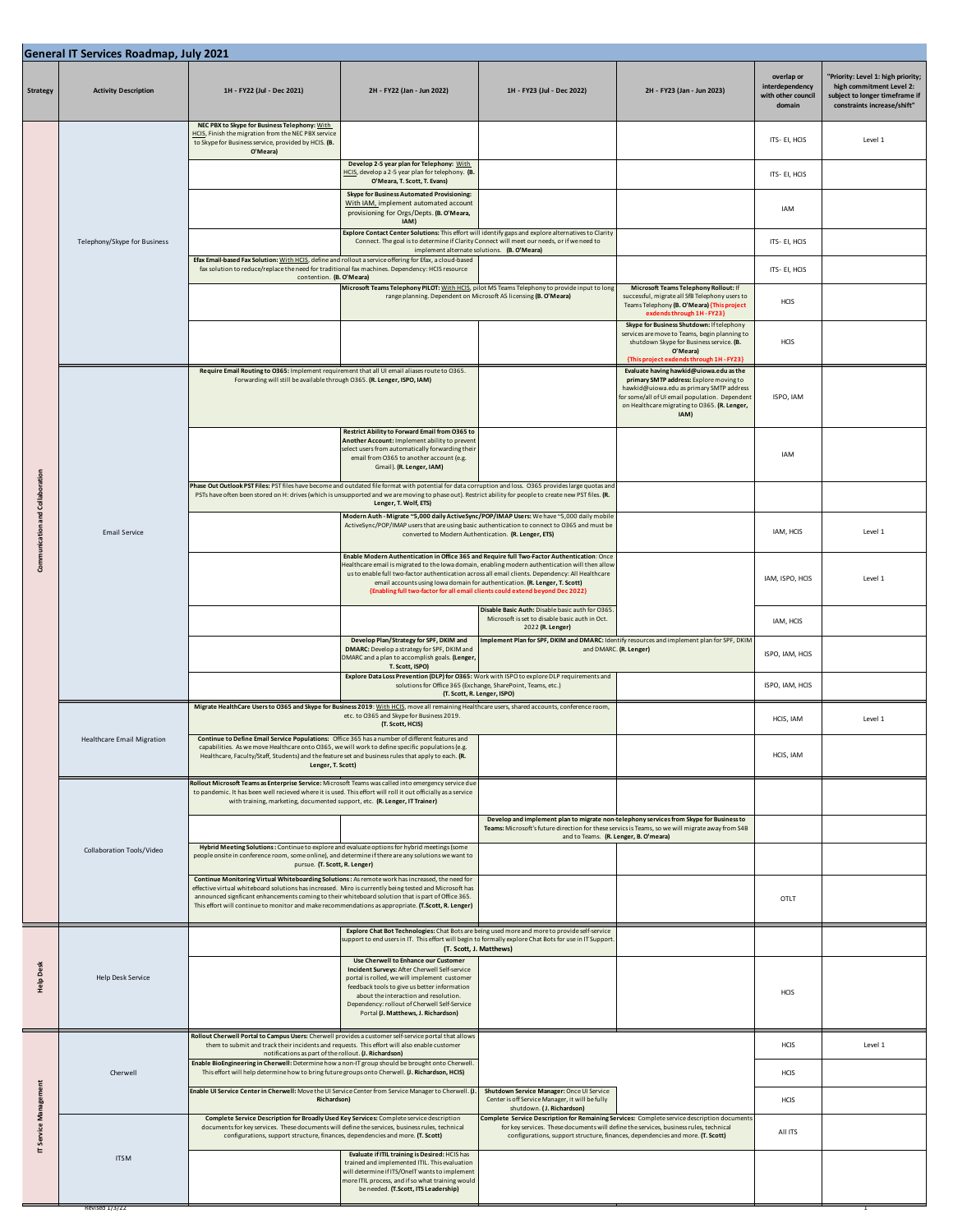| General IT Services Roadmap, July 2021 |                                                                                                                                                                                                                                                                   |                                                                                                                                                                                                                                                                                                                                                                                                                       |                                                                                                                                                                                                                                                                                                                                                                                                                                                                   |                                                                                                                                                                                                                                      |                                                                                                                                                                                                                                          |                                                               |                                                                                                                                 |  |
|----------------------------------------|-------------------------------------------------------------------------------------------------------------------------------------------------------------------------------------------------------------------------------------------------------------------|-----------------------------------------------------------------------------------------------------------------------------------------------------------------------------------------------------------------------------------------------------------------------------------------------------------------------------------------------------------------------------------------------------------------------|-------------------------------------------------------------------------------------------------------------------------------------------------------------------------------------------------------------------------------------------------------------------------------------------------------------------------------------------------------------------------------------------------------------------------------------------------------------------|--------------------------------------------------------------------------------------------------------------------------------------------------------------------------------------------------------------------------------------|------------------------------------------------------------------------------------------------------------------------------------------------------------------------------------------------------------------------------------------|---------------------------------------------------------------|---------------------------------------------------------------------------------------------------------------------------------|--|
| <b>Strategy</b>                        | <b>Activity Description</b>                                                                                                                                                                                                                                       | 1H - FY22 (Jul - Dec 2021)                                                                                                                                                                                                                                                                                                                                                                                            | 2H - FY22 (Jan - Jun 2022)                                                                                                                                                                                                                                                                                                                                                                                                                                        | 1H - FY23 (Jul - Dec 2022)                                                                                                                                                                                                           | 2H - FY23 (Jan - Jun 2023)                                                                                                                                                                                                               | overlap or<br>interdependency<br>with other council<br>domain | "Priority: Level 1: high priority;<br>high commitment Level 2:<br>subject to longer timeframe if<br>constraints increase/shift" |  |
|                                        | Telephony/Skype for Business                                                                                                                                                                                                                                      | NEC PBX to Skype for Business Telephony: With<br>HCIS, Finish the migration from the NEC PBX service<br>to Skype for Business service, provided by HCIS. (B.<br>O'Meara)                                                                                                                                                                                                                                              |                                                                                                                                                                                                                                                                                                                                                                                                                                                                   |                                                                                                                                                                                                                                      |                                                                                                                                                                                                                                          | ITS- EI, HCIS                                                 | Level 1                                                                                                                         |  |
|                                        |                                                                                                                                                                                                                                                                   |                                                                                                                                                                                                                                                                                                                                                                                                                       | Develop 2-5 year plan for Telephony: With<br>HCIS, develop a 2-5 year plan for telephony. (B.<br>O'Meara, T. Scott, T. Evans)                                                                                                                                                                                                                                                                                                                                     |                                                                                                                                                                                                                                      |                                                                                                                                                                                                                                          | ITS- EI, HCIS                                                 |                                                                                                                                 |  |
|                                        |                                                                                                                                                                                                                                                                   |                                                                                                                                                                                                                                                                                                                                                                                                                       | Skype for Business Automated Provisioning:<br>With IAM, implement automated account<br>provisioning for Orgs/Depts. (B. O'Meara,<br>IAM)                                                                                                                                                                                                                                                                                                                          |                                                                                                                                                                                                                                      |                                                                                                                                                                                                                                          | IAM                                                           |                                                                                                                                 |  |
|                                        |                                                                                                                                                                                                                                                                   | Efax Email-based Fax Solution: With HCIS, define and rollout a service offering for Efax, a cloud-based                                                                                                                                                                                                                                                                                                               | Explore Contact Center Solutions: This effort will identify gaps and explore alternatives to Clarity<br>Connect. The goal is to determine if Clarity Connect will meet our needs, or if we need to<br>implement alternate solutions. (B. O'Meara)                                                                                                                                                                                                                 |                                                                                                                                                                                                                                      |                                                                                                                                                                                                                                          | ITS-EI, HCIS                                                  |                                                                                                                                 |  |
|                                        |                                                                                                                                                                                                                                                                   | fax solution to reduce/replace the need for traditional fax machines. Dependency: HCIS resource<br>contention. (B. O'Meara)                                                                                                                                                                                                                                                                                           |                                                                                                                                                                                                                                                                                                                                                                                                                                                                   |                                                                                                                                                                                                                                      | ITS-EI, HCIS                                                                                                                                                                                                                             |                                                               |                                                                                                                                 |  |
|                                        |                                                                                                                                                                                                                                                                   |                                                                                                                                                                                                                                                                                                                                                                                                                       | Microsoft Teams Telephony PILOT: With HCIS, pilot MS Teams Telephony to provide input to long<br>range planning. Dependent on Microsoft A5 licensing (B. O'Meara)                                                                                                                                                                                                                                                                                                 |                                                                                                                                                                                                                                      | Microsoft Teams Telephony Rollout: If<br>successful, migrate all SfB Telephony users to<br>Teams Telephony (B. O'Meara) {This project<br>exdends through 1H - FY23}                                                                      | HCIS                                                          |                                                                                                                                 |  |
|                                        |                                                                                                                                                                                                                                                                   |                                                                                                                                                                                                                                                                                                                                                                                                                       |                                                                                                                                                                                                                                                                                                                                                                                                                                                                   |                                                                                                                                                                                                                                      | Skype for Business Shutdown: If telephony<br>services are move to Teams, begin planning to<br>shutdown Skype for Business service. (B.<br>O'Meara)<br>{This project exdends through 1H - FY23}                                           | HCIS                                                          |                                                                                                                                 |  |
|                                        |                                                                                                                                                                                                                                                                   | Require Email Routing to O365: Implement requirement that all UI email aliases route to O365.<br>Forwarding will still be available through O365. (R. Lenger, ISPO, IAM)                                                                                                                                                                                                                                              |                                                                                                                                                                                                                                                                                                                                                                                                                                                                   |                                                                                                                                                                                                                                      | Evaluate having hawkid@uiowa.edu as the<br>primary SMTP address: Explore moving to<br>hawkid@uiowa.edu as primary SMTP address<br>for some/all of UI email population. Dependent<br>on Healthcare migrating to O365. (R. Lenger,<br>IAM) | ISPO, IAM                                                     |                                                                                                                                 |  |
|                                        |                                                                                                                                                                                                                                                                   |                                                                                                                                                                                                                                                                                                                                                                                                                       | Restrict Ability to Forward Email from 0365 to<br>Another Account: Implement ability to prevent<br>select users from automatically forwarding their<br>email from O365 to another account (e.g.<br>Gmail). (R. Lenger, IAM)                                                                                                                                                                                                                                       |                                                                                                                                                                                                                                      |                                                                                                                                                                                                                                          | IAM                                                           |                                                                                                                                 |  |
| and Collaboration                      |                                                                                                                                                                                                                                                                   | Phase Out Outlook PST Files: PST files have become and outdated file format with potential for data corruption and loss. O365 provides large quotas and<br>PSTs have often been stored on H: drives (which is unsupported and we are moving to phase out). Restrict ability for people to create new PST files. (R.                                                                                                   | Lenger, T. Wolf, ETS)                                                                                                                                                                                                                                                                                                                                                                                                                                             |                                                                                                                                                                                                                                      |                                                                                                                                                                                                                                          |                                                               |                                                                                                                                 |  |
| unication                              | <b>Email Service</b>                                                                                                                                                                                                                                              |                                                                                                                                                                                                                                                                                                                                                                                                                       | Modern Auth - Migrate ~5,000 daily ActiveSync/POP/IMAP Users: We have ~5,000 daily mobile<br>ActiveSync/POP/IMAP users that are using basic authentication to connect to O365 and must be<br>converted to Modern Authentication. (R. Lenger, ETS)                                                                                                                                                                                                                 |                                                                                                                                                                                                                                      |                                                                                                                                                                                                                                          | IAM, HCIS                                                     | Level 1                                                                                                                         |  |
| č                                      |                                                                                                                                                                                                                                                                   |                                                                                                                                                                                                                                                                                                                                                                                                                       | Enable Modern Authentication in Office 365 and Require full Two-Factor Authentication: Once<br>Healthcare email is migrated to the lowa domain, enabling modern authentication will then allow<br>us to enable full two-factor authentication across all email clients. Dependency: All Healthcare<br>email accounts using lowa domain for authentication. (R. Lenger, T. Scott)<br>{Enabling full two-factor for all email clients could extend beyond Dec 2022} |                                                                                                                                                                                                                                      |                                                                                                                                                                                                                                          | IAM, ISPO, HCIS                                               | Level 1                                                                                                                         |  |
|                                        |                                                                                                                                                                                                                                                                   |                                                                                                                                                                                                                                                                                                                                                                                                                       |                                                                                                                                                                                                                                                                                                                                                                                                                                                                   | Disable Basic Auth: Disable basic auth for O365.<br>Microsoft is set to disable basic auth in Oct.<br>2022 (R. Lenger)                                                                                                               |                                                                                                                                                                                                                                          | IAM, HCIS                                                     |                                                                                                                                 |  |
|                                        |                                                                                                                                                                                                                                                                   |                                                                                                                                                                                                                                                                                                                                                                                                                       | Develop Plan/Strategy for SPF, DKIM and<br>DMARC: Develop a strategy for SPF, DKIM and<br>DMARC and a plan to accomplish goals. (Lenger<br>T. Scott, ISPO)                                                                                                                                                                                                                                                                                                        | Implement Plan for SPF, DKIM and DMARC: Identify resources and implement plan for SPF, DKIM<br>and DMARC. (R. Lenger)                                                                                                                |                                                                                                                                                                                                                                          | ISPO, IAM, HCIS                                               |                                                                                                                                 |  |
|                                        |                                                                                                                                                                                                                                                                   |                                                                                                                                                                                                                                                                                                                                                                                                                       | Explore Data Loss Prevention (DLP) for O365: Work with ISPO to explore DLP requirements and<br>solutions for Office 365 (Exchange, SharePoint, Teams, etc.)                                                                                                                                                                                                                                                                                                       | (T. Scott, R. Lenger, ISPO)                                                                                                                                                                                                          |                                                                                                                                                                                                                                          | ISPO, IAM, HCIS                                               |                                                                                                                                 |  |
|                                        |                                                                                                                                                                                                                                                                   | Migrate HealthCare Users to 0365 and Skype for Business 2019: With HCIS, move all remaining Healthcare users, shared accounts, conference room,                                                                                                                                                                                                                                                                       | etc. to O365 and Skype for Business 2019.<br>(T. Scott, HCIS)                                                                                                                                                                                                                                                                                                                                                                                                     |                                                                                                                                                                                                                                      |                                                                                                                                                                                                                                          | HCIS, IAM                                                     | Level 1                                                                                                                         |  |
|                                        | <b>Healthcare Email Migration</b><br>capabilities. As we move Healthcare onto O365, we will work to define specific populations (e.g.<br>Healthcare, Faculty/Staff, Students) and the feature set and business rules that apply to each. (R.<br>Lenger, T. Scott) |                                                                                                                                                                                                                                                                                                                                                                                                                       | Continue to Define Email Service Populations: Office 365 has a number of different features and                                                                                                                                                                                                                                                                                                                                                                   |                                                                                                                                                                                                                                      |                                                                                                                                                                                                                                          | HCIS, IAM                                                     |                                                                                                                                 |  |
|                                        | Collaboration Tools/Video                                                                                                                                                                                                                                         | Rollout Microsoft Teams as Enterprise Service: Microsoft Teams was called into emergency service due<br>to pandemic. It has been well recieved where it is used. This effort will roll it out officially as a service<br>with training, marketing, documented support, etc. (R. Lenger, IT Trainer)                                                                                                                   |                                                                                                                                                                                                                                                                                                                                                                                                                                                                   |                                                                                                                                                                                                                                      |                                                                                                                                                                                                                                          |                                                               |                                                                                                                                 |  |
|                                        |                                                                                                                                                                                                                                                                   |                                                                                                                                                                                                                                                                                                                                                                                                                       |                                                                                                                                                                                                                                                                                                                                                                                                                                                                   | Develop and implement plan to migrate non-telephony services from Skype for Business to<br>Teams: Microsoft's future direction for these servics is Teams, so we will migrate away from S4B<br>and to Teams. (R. Lenger, B. O'meara) |                                                                                                                                                                                                                                          |                                                               |                                                                                                                                 |  |
|                                        |                                                                                                                                                                                                                                                                   | Hybrid Meeting Solutions : Continue to explore and evaluate options for hybrid meetings (some<br>people onsite in conference room, some online), and determine if there are any solutions we want to<br>pursue. (T. Scott, R. Lenger)                                                                                                                                                                                 |                                                                                                                                                                                                                                                                                                                                                                                                                                                                   |                                                                                                                                                                                                                                      |                                                                                                                                                                                                                                          |                                                               |                                                                                                                                 |  |
|                                        |                                                                                                                                                                                                                                                                   | Continue Monitoring Virtual Whiteboarding Solutions : As remote work has increased, the need for<br>effective virtual whiteboard solutions has increased. Miro is currently being tested and Microsoft has<br>announced signficant enhancements coming to their whiteboard solution that is part of Office 365.<br>This effort will continue to monitor and make recommendations as appropriate. (T.Scott, R. Lenger) |                                                                                                                                                                                                                                                                                                                                                                                                                                                                   |                                                                                                                                                                                                                                      |                                                                                                                                                                                                                                          | OTLT                                                          |                                                                                                                                 |  |
|                                        | <b>Help Desk Service</b>                                                                                                                                                                                                                                          |                                                                                                                                                                                                                                                                                                                                                                                                                       | Explore Chat Bot Technologies: Chat Bots are being used more and more to provide self-service<br>support to end users in IT. This effort will begin to formally explore Chat Bots for use in IT Support<br>(T. Scott, J. Matthews)<br>Use Cherwell to Enhance our Customer                                                                                                                                                                                        |                                                                                                                                                                                                                                      |                                                                                                                                                                                                                                          |                                                               |                                                                                                                                 |  |
| ۵<br>Help                              |                                                                                                                                                                                                                                                                   |                                                                                                                                                                                                                                                                                                                                                                                                                       | Incident Surveys: After Cherwell Self-service<br>portal is rolled, we will implement customer<br>feedback tools to give us better information<br>about the interaction and resolution.<br>Dependency: rollout of Cherwell Self-Service<br>Portal (J. Matthews, J. Richardson)                                                                                                                                                                                     |                                                                                                                                                                                                                                      |                                                                                                                                                                                                                                          | <b>HCIS</b>                                                   |                                                                                                                                 |  |
| æ<br><b>SP</b><br>╘                    | Cherwell                                                                                                                                                                                                                                                          | Rollout Cherwell Portal to Campus Users: Cherwell provides a customer self-service portal that allows<br>them to submit and track their incidents and requests. This effort will also enable customer<br>notifications as part of the rollout. (J. Richardson)                                                                                                                                                        |                                                                                                                                                                                                                                                                                                                                                                                                                                                                   |                                                                                                                                                                                                                                      |                                                                                                                                                                                                                                          | HCIS                                                          | Level 1                                                                                                                         |  |
|                                        |                                                                                                                                                                                                                                                                   | Enable BioEngineering in Cherwell: Determine how a non-IT group should be brought onto Cherwell.<br>This effort will help determine how to bring future groups onto Cherwell. (J. Richardson, HCIS)                                                                                                                                                                                                                   |                                                                                                                                                                                                                                                                                                                                                                                                                                                                   |                                                                                                                                                                                                                                      |                                                                                                                                                                                                                                          | <b>HCIS</b>                                                   |                                                                                                                                 |  |
|                                        |                                                                                                                                                                                                                                                                   | Enable UI Service Center in Cherwell: Move the UI Service Center from Service Manager to Cherwell. (J.<br><b>Richardson</b> )                                                                                                                                                                                                                                                                                         |                                                                                                                                                                                                                                                                                                                                                                                                                                                                   | Shutdown Service Manager: Once UI Service<br>Center is off Service Manager, it will be fully<br>shutdown. (J. Richardson)                                                                                                            |                                                                                                                                                                                                                                          | HCIS                                                          |                                                                                                                                 |  |
|                                        |                                                                                                                                                                                                                                                                   | Complete Service Description for Broadly Used Key Services: Complete service description<br>documents for key services. These documents will define the services, business rules, technical<br>configurations, support structure, finances, dependencies and more. (T. Scott)                                                                                                                                         |                                                                                                                                                                                                                                                                                                                                                                                                                                                                   | Complete Service Description for Remaining Services: Complete service description documents<br>for key services. These documents will define the services, business rules, technical                                                 | configurations, support structure, finances, dependencies and more. (T. Scott)                                                                                                                                                           | All ITS                                                       |                                                                                                                                 |  |
|                                        | <b>ITSM</b><br>Revised 1/3/22                                                                                                                                                                                                                                     |                                                                                                                                                                                                                                                                                                                                                                                                                       | Evaluate if ITIL training is Desired: HCIS has<br>trained and implemented ITIL. This evaluation<br>will determine if ITS/OneIT wants to implement<br>more ITIL process, and if so what training would<br>be needed. (T.Scott, ITS Leadership)                                                                                                                                                                                                                     |                                                                                                                                                                                                                                      |                                                                                                                                                                                                                                          |                                                               |                                                                                                                                 |  |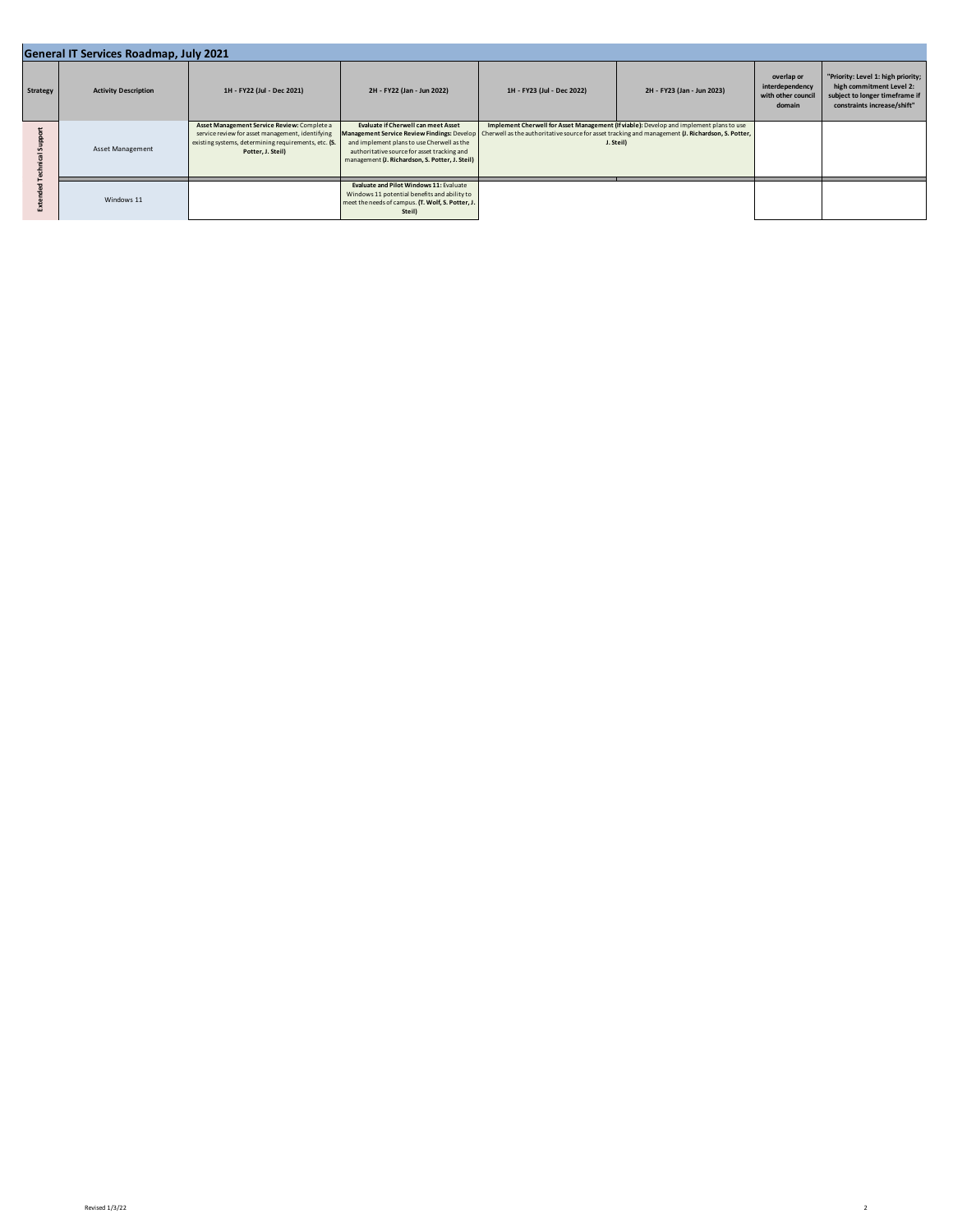| General IT Services Roadmap, July 2021 |                             |                                                                                                                                                                              |                                                                                                                                                                                            |                                                                                                                                                 |                                                                                                      |                                                               |                                                                                                                                 |  |
|----------------------------------------|-----------------------------|------------------------------------------------------------------------------------------------------------------------------------------------------------------------------|--------------------------------------------------------------------------------------------------------------------------------------------------------------------------------------------|-------------------------------------------------------------------------------------------------------------------------------------------------|------------------------------------------------------------------------------------------------------|---------------------------------------------------------------|---------------------------------------------------------------------------------------------------------------------------------|--|
| Strategy                               | <b>Activity Description</b> | 1H - FY22 (Jul - Dec 2021)                                                                                                                                                   | 2H - FY22 (Jan - Jun 2022)                                                                                                                                                                 | 1H - FY23 (Jul - Dec 2022)                                                                                                                      | 2H - FY23 (Jan - Jun 2023)                                                                           | overlap or<br>interdependency<br>with other council<br>domain | "Priority: Level 1: high priority;<br>high commitment Level 2:<br>subject to longer timeframe if<br>constraints increase/shift" |  |
|                                        | Asset Management            | Asset Management Service Review: Complete a<br>service review for asset management, identifying<br>existing systems, determining requirements, etc. (S.<br>Potter, J. Steil) | <b>Evaluate if Cherwell can meet Asset</b><br>and implement plans to use Cherwell as the<br>authoritative source for asset tracking and<br>management (J. Richardson, S. Potter, J. Steil) | Management Service Review Findings: Develop   Cherwell as the authoritative source for asset tracking and management (J. Richardson, S. Potter, | Implement Cherwell for Asset Management (If viable): Develop and implement plans to use<br>J. Steil) |                                                               |                                                                                                                                 |  |
|                                        | Windows 11                  |                                                                                                                                                                              | Evaluate and Pilot Windows 11: Evaluate<br>Windows 11 potential benefits and ability to<br>meet the needs of campus. (T. Wolf, S. Potter, J.<br>Steil)                                     |                                                                                                                                                 |                                                                                                      |                                                               |                                                                                                                                 |  |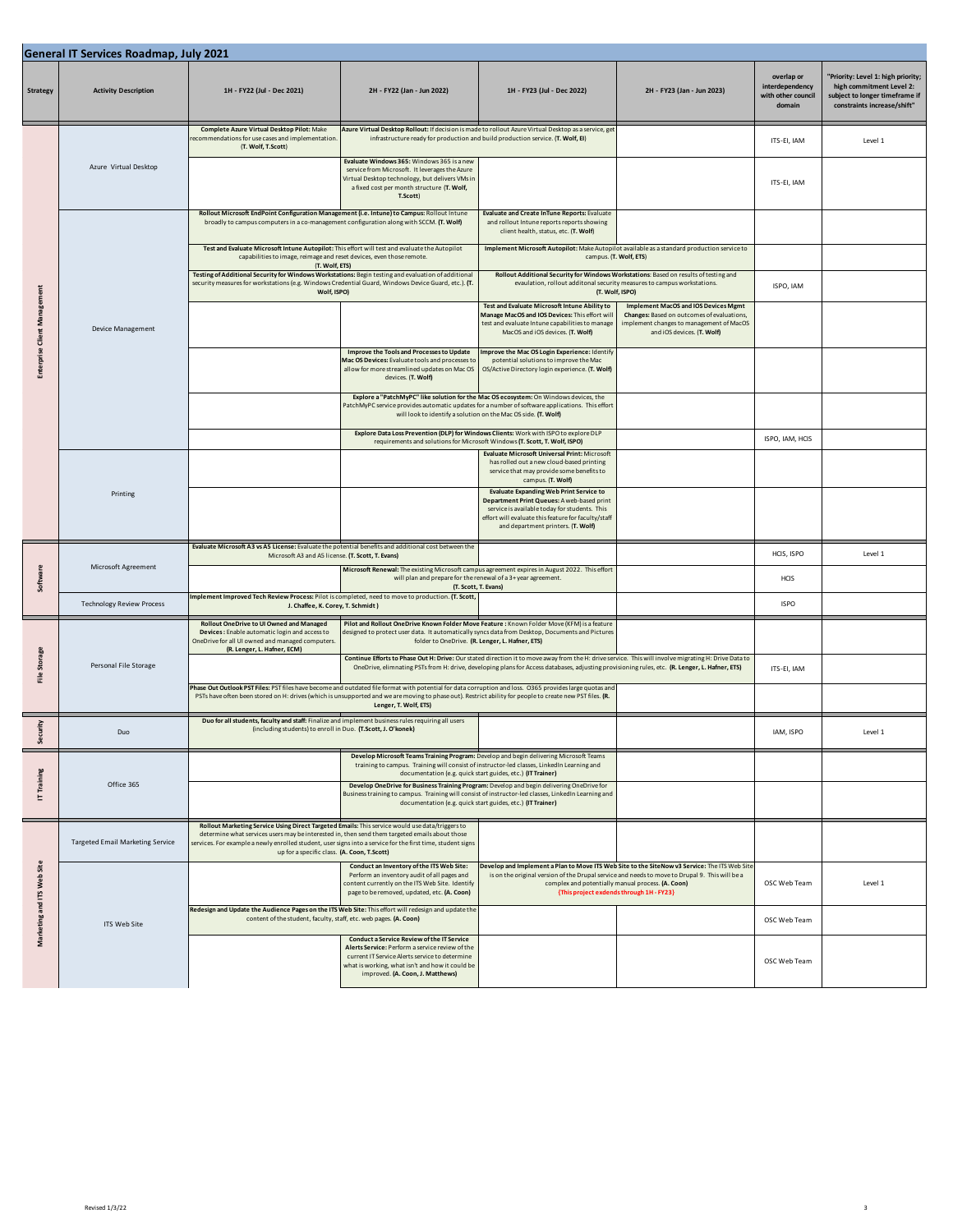| <b>General IT Services Roadmap, July 2021</b> |                                         |                                                                                                                                                                                                                                                                                                                                                                 |                                                                                                                                                                                                                                               |                                                                                                                                                                                                                                                                                                        |                                                                                                                                                                                                 |                                                               |                                                                                                                                 |  |
|-----------------------------------------------|-----------------------------------------|-----------------------------------------------------------------------------------------------------------------------------------------------------------------------------------------------------------------------------------------------------------------------------------------------------------------------------------------------------------------|-----------------------------------------------------------------------------------------------------------------------------------------------------------------------------------------------------------------------------------------------|--------------------------------------------------------------------------------------------------------------------------------------------------------------------------------------------------------------------------------------------------------------------------------------------------------|-------------------------------------------------------------------------------------------------------------------------------------------------------------------------------------------------|---------------------------------------------------------------|---------------------------------------------------------------------------------------------------------------------------------|--|
| <b>Strategy</b>                               | <b>Activity Description</b>             | 1H - FY22 (Jul - Dec 2021)                                                                                                                                                                                                                                                                                                                                      | 2H - FY22 (Jan - Jun 2022)                                                                                                                                                                                                                    | 1H - FY23 (Jul - Dec 2022)                                                                                                                                                                                                                                                                             | 2H - FY23 (Jan - Jun 2023)                                                                                                                                                                      | overlap or<br>interdependency<br>with other council<br>domain | 'Priority: Level 1: high priority;<br>high commitment Level 2:<br>subject to longer timeframe if<br>constraints increase/shift" |  |
|                                               | Azure Virtual Desktop                   | Complete Azure Virtual Desktop Pilot: Make<br>recommendations for use cases and implementation<br>(T. Wolf, T.Scott)                                                                                                                                                                                                                                            |                                                                                                                                                                                                                                               | Azure Virtual Desktop Rollout: If decision is made to rollout Azure Virtual Desktop as a service, get<br>infrastructure ready for production and build production service. (T. Wolf, EI)                                                                                                               |                                                                                                                                                                                                 | ITS-EI, IAM                                                   | Level 1                                                                                                                         |  |
|                                               |                                         |                                                                                                                                                                                                                                                                                                                                                                 | Evaluate Windows 365: Windows 365 is a new<br>service from Microsoft. It leverages the Azure<br>Virtual Desktop technology, but delivers VMs in<br>a fixed cost per month structure (T. Wolf,<br>T.Scott)                                     |                                                                                                                                                                                                                                                                                                        |                                                                                                                                                                                                 | ITS-EI, IAM                                                   |                                                                                                                                 |  |
|                                               |                                         | Rollout Microsoft EndPoint Configuration Management (i.e. Intune) to Campus: Rollout Intune<br>broadly to campus computers in a co-management configuration along with SCCM. (T. Wolf)                                                                                                                                                                          |                                                                                                                                                                                                                                               | <b>Evaluate and Create InTune Reports: Evaluate</b><br>and rollout Intune reports reports showing<br>client health, status, etc. (T. Wolf)                                                                                                                                                             |                                                                                                                                                                                                 |                                                               |                                                                                                                                 |  |
|                                               |                                         | Test and Evaluate Microsoft Intune Autopilot: This effort will test and evaluate the Autopilot<br>capabilities to image, reimage and reset devices, even those remote.                                                                                                                                                                                          |                                                                                                                                                                                                                                               | Implement Microsoft Autopilot: Make Autopilot available as a standard production service to<br>campus. (T. Wolf, ETS)                                                                                                                                                                                  |                                                                                                                                                                                                 |                                                               |                                                                                                                                 |  |
|                                               |                                         | (T. Wolf, ETS)<br>Testing of Additional Security for Windows Workstations: Begin testing and evaluation of additional<br>security measures for workstations (e.g. Windows Credential Guard, Windows Device Guard, etc.). (T.<br>Wolf, ISPO)                                                                                                                     |                                                                                                                                                                                                                                               | Rollout Additional Security for Windows Workstations: Based on results of testing and<br>evaulation, rollout additonal security measures to campus workstations.<br>(T. Wolf, ISPO)                                                                                                                    |                                                                                                                                                                                                 | ISPO, IAM                                                     |                                                                                                                                 |  |
| <b>Enterprise Client Management</b>           | Device Management                       |                                                                                                                                                                                                                                                                                                                                                                 |                                                                                                                                                                                                                                               | Test and Evaluate Microsoft Intune Ability to<br>Manage MacOS and IOS Devices: This effort wil<br>test and evaluate Intune capabilities to manage<br>MacOS and iOS devices. (T. Wolf)                                                                                                                  | <b>Implement MacOS and IOS Devices Mgmt</b><br>Changes: Based on outcomes of evaluations,<br>implement changes to management of MacOS<br>and iOS devices. (T. Wolf)                             |                                                               |                                                                                                                                 |  |
|                                               |                                         |                                                                                                                                                                                                                                                                                                                                                                 | Improve the Tools and Processes to Update<br>Mac OS Devices: Evaluate tools and processes to<br>allow for more streamlined updates on Mac OS<br>devices. (T. Wolf)                                                                            | Improve the Mac OS Login Experience: Identify<br>potential solutions to improve the Mac<br>OS/Active Directory login experience. (T. Wolf)                                                                                                                                                             |                                                                                                                                                                                                 |                                                               |                                                                                                                                 |  |
|                                               |                                         |                                                                                                                                                                                                                                                                                                                                                                 |                                                                                                                                                                                                                                               | Explore a "PatchMyPC" like solution for the Mac OS ecosystem: On Windows devices, the<br>PatchMyPC service provides automatic updates for a number of software applications. This effort<br>will look to identify a solution on the Mac OS side. (T. Wolf)                                             |                                                                                                                                                                                                 |                                                               |                                                                                                                                 |  |
|                                               |                                         |                                                                                                                                                                                                                                                                                                                                                                 |                                                                                                                                                                                                                                               | Explore Data Loss Prevention (DLP) for Windows Clients: Work with ISPO to explore DLP<br>requirements and solutions for Microsoft Windows (T. Scott, T. Wolf, ISPO)                                                                                                                                    |                                                                                                                                                                                                 | ISPO, IAM, HCIS                                               |                                                                                                                                 |  |
|                                               | Printing                                |                                                                                                                                                                                                                                                                                                                                                                 |                                                                                                                                                                                                                                               | <b>Evaluate Microsoft Universal Print: Microsoft</b><br>has rolled out a new cloud-based printing<br>service that may provide some benefits to<br>campus. (T. Wolf)                                                                                                                                    |                                                                                                                                                                                                 |                                                               |                                                                                                                                 |  |
|                                               |                                         |                                                                                                                                                                                                                                                                                                                                                                 |                                                                                                                                                                                                                                               | <b>Evaluate Expanding Web Print Service to</b><br>Department Print Queues: A web-based print<br>service is available today for students. This<br>effort will evaluate this feature for faculty/staff<br>and department printers. (T. Wolf)                                                             |                                                                                                                                                                                                 |                                                               |                                                                                                                                 |  |
|                                               | Microsoft Agreement                     | Evaluate Microsoft A3 vs A5 License: Evaluate the potential benefits and additional cost between the<br>Microsoft A3 and A5 license. (T. Scott, T. Evans)                                                                                                                                                                                                       |                                                                                                                                                                                                                                               |                                                                                                                                                                                                                                                                                                        |                                                                                                                                                                                                 | HCIS, ISPO                                                    | Level 1                                                                                                                         |  |
| Software                                      |                                         |                                                                                                                                                                                                                                                                                                                                                                 |                                                                                                                                                                                                                                               | Microsoft Renewal: The existing Microsoft campus agreement expires in August 2022. This effort<br>will plan and prepare for the renewal of a 3+ year agreement.<br>(T. Scott, T. Evans)                                                                                                                |                                                                                                                                                                                                 | HCIS                                                          |                                                                                                                                 |  |
|                                               | <b>Technology Review Process</b>        | Implement Improved Tech Review Process: Pilot is completed, need to move to production. (T. Scott,<br>J. Chaffee, K. Corey, T. Schmidt)                                                                                                                                                                                                                         |                                                                                                                                                                                                                                               |                                                                                                                                                                                                                                                                                                        |                                                                                                                                                                                                 | <b>ISPO</b>                                                   |                                                                                                                                 |  |
|                                               | Personal File Storage                   | Rollout OneDrive to UI Owned and Managed<br>Devices: Enable automatic login and access to<br>OneDrive for all UI owned and managed computers.<br>(R. Lenger, L. Hafner, ECM)                                                                                                                                                                                    |                                                                                                                                                                                                                                               | Pilot and Rollout One Drive Known Folder Move Feature : Known Folder Move (KFM) is a feature<br>designed to protect user data. It automatically syncs data from Desktop, Documents and Picture<br>folder to OneDrive. (R. Lenger, L. Hafner, ETS)                                                      |                                                                                                                                                                                                 |                                                               |                                                                                                                                 |  |
| File Storage                                  |                                         |                                                                                                                                                                                                                                                                                                                                                                 |                                                                                                                                                                                                                                               | Continue Efforts to Phase Out H: Drive: Our stated direction it to move away from the H: drive service. This will involve migrating H: Drive Data to<br>OneDrive, elimnating PSTs from H: drive, developing plans for Access databases, adjusting provisioning rules, etc. (R. Lenger, L. Hafner, ETS) |                                                                                                                                                                                                 | ITS-EI, IAM                                                   |                                                                                                                                 |  |
|                                               |                                         | Phase Out Outlook PST Files: PST files have become and outdated file format with potential for data corruption and loss. O365 provides large quotas and<br>PSTs have often been stored on H: drives (which is unsupported and we are moving to phase out). Restrict ability for people to create new PST files. (R.                                             | Lenger, T. Wolf, ETS)                                                                                                                                                                                                                         |                                                                                                                                                                                                                                                                                                        |                                                                                                                                                                                                 |                                                               |                                                                                                                                 |  |
| Security                                      | Duo                                     | Duo for all students, faculty and staff: Finalize and implement business rules requiring all users<br>(including students) to enroll in Duo. (T.Scott, J. O'konek)                                                                                                                                                                                              |                                                                                                                                                                                                                                               |                                                                                                                                                                                                                                                                                                        |                                                                                                                                                                                                 | IAM, ISPO                                                     | Level 1                                                                                                                         |  |
|                                               | Office 365                              |                                                                                                                                                                                                                                                                                                                                                                 |                                                                                                                                                                                                                                               | Develop Microsoft Teams Training Program: Develop and begin delivering Microsoft Teams<br>training to campus. Training will consist of instructor-led classes, LinkedIn Learning and<br>documentation (e.g. quick start guides, etc.) (IT Trainer)                                                     |                                                                                                                                                                                                 |                                                               |                                                                                                                                 |  |
| IT Training                                   |                                         |                                                                                                                                                                                                                                                                                                                                                                 |                                                                                                                                                                                                                                               | Develop One Drive for Business Training Program: Develop and begin delivering OneDrive for<br>Business training to campus. Training will consist of instructor-led classes, LinkedIn Learning and<br>documentation (e.g. quick start guides, etc.) (IT Trainer)                                        |                                                                                                                                                                                                 |                                                               |                                                                                                                                 |  |
| Marketing and ITS Web Site                    | <b>Targeted Email Marketing Service</b> | Rollout Marketing Service Using Direct Targeted Emails: This service would use data/triggers to<br>determine what services users may be interested in, then send them targeted emails about those<br>services. For example a newly enrolled student, user signs into a service for the first time, student signs<br>up for a specific class. (A. Coon, T.Scott) |                                                                                                                                                                                                                                               |                                                                                                                                                                                                                                                                                                        |                                                                                                                                                                                                 |                                                               |                                                                                                                                 |  |
|                                               |                                         |                                                                                                                                                                                                                                                                                                                                                                 | Conduct an Inventory of the ITS Web Site:<br>Perform an inventory audit of all pages and<br>content currently on the ITS Web Site. Identify<br>page to be removed, updated, etc. (A. Coon)                                                    | Develop and Implement a Plan to Move ITS Web Site to the SiteNow v3 Service: The ITS Web Sit                                                                                                                                                                                                           | is on the original version of the Drupal service and needs to move to Drupal 9. This will be a<br>complex and potentially manual process. (A. Coon)<br>{This project exdends through 1H - FY23} | OSC Web Team                                                  | Level 1                                                                                                                         |  |
|                                               | ITS Web Site                            | Redesign and Update the Audience Pages on the ITS Web Site: This effort will redesign and update the<br>content of the student, faculty, staff, etc. web pages. (A. Coon)                                                                                                                                                                                       |                                                                                                                                                                                                                                               |                                                                                                                                                                                                                                                                                                        |                                                                                                                                                                                                 | OSC Web Team                                                  |                                                                                                                                 |  |
|                                               |                                         |                                                                                                                                                                                                                                                                                                                                                                 | <b>Conduct a Service Review of the IT Service</b><br>Alerts Service: Perform a service review of the<br>current IT Service Alerts service to determine<br>what is working, what isn't and how it could be<br>improved. (A. Coon, J. Matthews) |                                                                                                                                                                                                                                                                                                        |                                                                                                                                                                                                 | OSC Web Team                                                  |                                                                                                                                 |  |